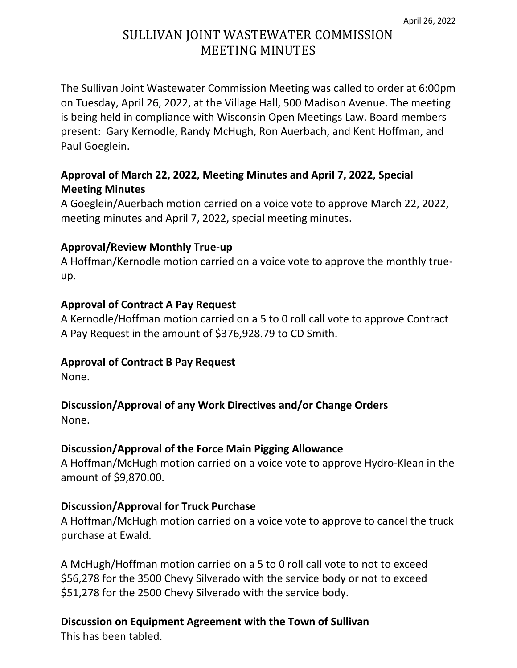# SULLIVAN JOINT WASTEWATER COMMISSION MEETING MINUTES

The Sullivan Joint Wastewater Commission Meeting was called to order at 6:00pm on Tuesday, April 26, 2022, at the Village Hall, 500 Madison Avenue. The meeting is being held in compliance with Wisconsin Open Meetings Law. Board members present: Gary Kernodle, Randy McHugh, Ron Auerbach, and Kent Hoffman, and Paul Goeglein.

# **Approval of March 22, 2022, Meeting Minutes and April 7, 2022, Special Meeting Minutes**

A Goeglein/Auerbach motion carried on a voice vote to approve March 22, 2022, meeting minutes and April 7, 2022, special meeting minutes.

## **Approval/Review Monthly True-up**

A Hoffman/Kernodle motion carried on a voice vote to approve the monthly trueup.

### **Approval of Contract A Pay Request**

A Kernodle/Hoffman motion carried on a 5 to 0 roll call vote to approve Contract A Pay Request in the amount of \$376,928.79 to CD Smith.

### **Approval of Contract B Pay Request**

None.

# **Discussion/Approval of any Work Directives and/or Change Orders**

None.

### **Discussion/Approval of the Force Main Pigging Allowance**

A Hoffman/McHugh motion carried on a voice vote to approve Hydro-Klean in the amount of \$9,870.00.

### **Discussion/Approval for Truck Purchase**

A Hoffman/McHugh motion carried on a voice vote to approve to cancel the truck purchase at Ewald.

A McHugh/Hoffman motion carried on a 5 to 0 roll call vote to not to exceed \$56,278 for the 3500 Chevy Silverado with the service body or not to exceed \$51,278 for the 2500 Chevy Silverado with the service body.

### **Discussion on Equipment Agreement with the Town of Sullivan**

This has been tabled.